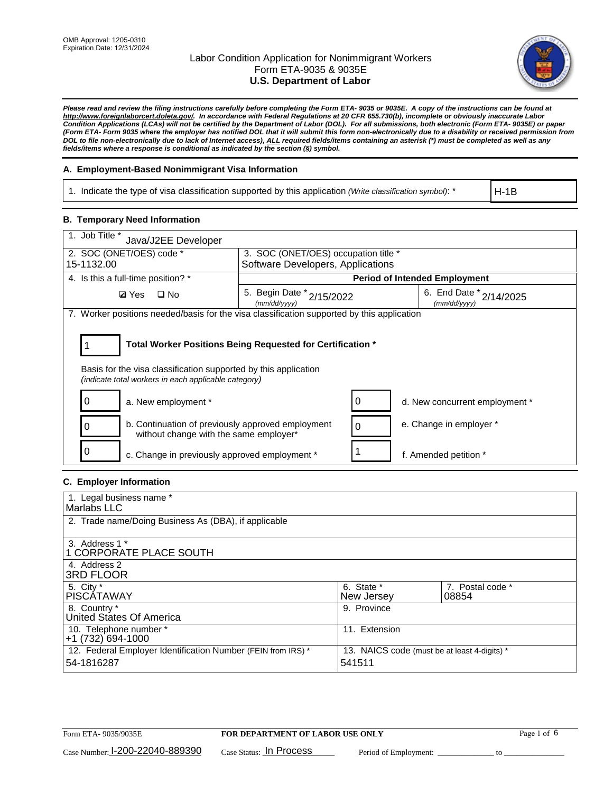

*Please read and review the filing instructions carefully before completing the Form ETA- 9035 or 9035E. A copy of the instructions can be found at http://www.foreignlaborcert.doleta.gov/. In accordance with Federal Regulations at 20 CFR 655.730(b), incomplete or obviously inaccurate Labor Condition Applications (LCAs) will not be certified by the Department of Labor (DOL). For all submissions, both electronic (Form ETA- 9035E) or paper (Form ETA- Form 9035 where the employer has notified DOL that it will submit this form non-electronically due to a disability or received permission from DOL to file non-electronically due to lack of Internet access), ALL required fields/items containing an asterisk (\*) must be completed as well as any fields/items where a response is conditional as indicated by the section (§) symbol.* 

### **A. Employment-Based Nonimmigrant Visa Information**

1. Indicate the type of visa classification supported by this application *(Write classification symbol)*: \*

H-1B

#### **B. Temporary Need Information**

| 1. Job Title *<br>Java/J2EE Developer                                                                                                                                                 |                                           |                                      |                                             |  |  |  |
|---------------------------------------------------------------------------------------------------------------------------------------------------------------------------------------|-------------------------------------------|--------------------------------------|---------------------------------------------|--|--|--|
| 2. SOC (ONET/OES) code *                                                                                                                                                              |                                           | 3. SOC (ONET/OES) occupation title * |                                             |  |  |  |
| 15-1132.00                                                                                                                                                                            | Software Developers, Applications         |                                      |                                             |  |  |  |
| 4. Is this a full-time position? *                                                                                                                                                    |                                           |                                      | <b>Period of Intended Employment</b>        |  |  |  |
| $\square$ No<br><b>Ø</b> Yes                                                                                                                                                          | 5. Begin Date * 2/15/2022<br>(mm/dd/yyyy) |                                      | 6. End Date $x_{2/14/2025}$<br>(mm/dd/yyyy) |  |  |  |
| 7. Worker positions needed/basis for the visa classification supported by this application                                                                                            |                                           |                                      |                                             |  |  |  |
| Total Worker Positions Being Requested for Certification *<br>Basis for the visa classification supported by this application<br>(indicate total workers in each applicable category) |                                           |                                      |                                             |  |  |  |
| a. New employment *                                                                                                                                                                   |                                           |                                      | d. New concurrent employment *              |  |  |  |
| b. Continuation of previously approved employment<br>without change with the same employer*                                                                                           |                                           |                                      | e. Change in employer *                     |  |  |  |
| c. Change in previously approved employment *                                                                                                                                         |                                           |                                      | f. Amended petition *                       |  |  |  |

# **C. Employer Information**

| 1. Legal business name *                                                   |                                                        |                           |
|----------------------------------------------------------------------------|--------------------------------------------------------|---------------------------|
| Marlabs LLC                                                                |                                                        |                           |
| 2. Trade name/Doing Business As (DBA), if applicable                       |                                                        |                           |
| 3. Address 1 *<br>1 CORPORATE PLACE SOUTH<br>4. Address 2                  |                                                        |                           |
| <b>3RD FLOOR</b>                                                           |                                                        |                           |
| 5. City *<br><b>PISCÁTAWAY</b>                                             | 6. State *<br>New Jersey                               | 7. Postal code *<br>08854 |
| 8. Country *<br>United States Of America                                   | 9. Province                                            |                           |
| 10. Telephone number *<br>$+1(732)694-1000$                                | 11. Extension                                          |                           |
| 12. Federal Employer Identification Number (FEIN from IRS) *<br>54-1816287 | 13. NAICS code (must be at least 4-digits) *<br>541511 |                           |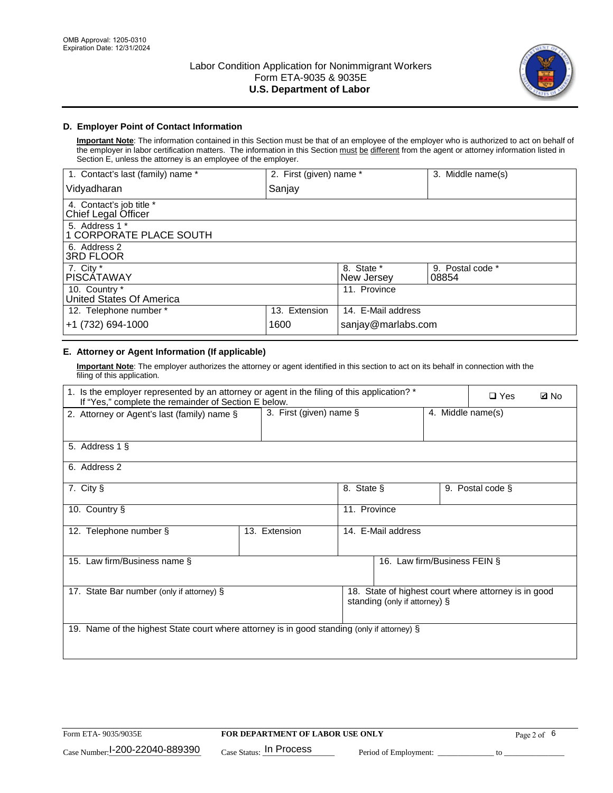

### **D. Employer Point of Contact Information**

**Important Note**: The information contained in this Section must be that of an employee of the employer who is authorized to act on behalf of the employer in labor certification matters. The information in this Section must be different from the agent or attorney information listed in Section E, unless the attorney is an employee of the employer.

| 1. Contact's last (family) name *               | 2. First (given) name * |                          | 3. Middle name(s)         |
|-------------------------------------------------|-------------------------|--------------------------|---------------------------|
| Vidyadharan                                     | Sanjay                  |                          |                           |
| 4. Contact's job title *<br>Chief Legal Officer |                         |                          |                           |
| 5. Address 1 *<br>1 CORPORATE PLACE SOUTH       |                         |                          |                           |
| 6. Address 2<br><b>3RD FLOOR</b>                |                         |                          |                           |
| 7. City *<br><b>PISCÁTAWAY</b>                  |                         | 8. State *<br>New Jersey | 9. Postal code *<br>08854 |
| 10. Country *<br>United States Of America       |                         | 11. Province             |                           |
| 12. Telephone number *                          | 13. Extension           | 14. E-Mail address       |                           |
| +1 (732) 694-1000                               | 1600                    | sanjay@marlabs.com       |                           |

# **E. Attorney or Agent Information (If applicable)**

**Important Note**: The employer authorizes the attorney or agent identified in this section to act on its behalf in connection with the filing of this application.

| 1. Is the employer represented by an attorney or agent in the filing of this application? *<br>If "Yes," complete the remainder of Section E below. |                            |                    |                               |                   | $\Box$ Yes                                           | <b>Ø</b> No |
|-----------------------------------------------------------------------------------------------------------------------------------------------------|----------------------------|--------------------|-------------------------------|-------------------|------------------------------------------------------|-------------|
| 2. Attorney or Agent's last (family) name §                                                                                                         | 3. First (given) name $\S$ |                    |                               | 4. Middle name(s) |                                                      |             |
| 5. Address 1 §                                                                                                                                      |                            |                    |                               |                   |                                                      |             |
| 6. Address 2                                                                                                                                        |                            |                    |                               |                   |                                                      |             |
| 7. City §                                                                                                                                           |                            | 8. State §         |                               |                   | 9. Postal code §                                     |             |
| 10. Country §                                                                                                                                       |                            | 11. Province       |                               |                   |                                                      |             |
| 12. Telephone number §                                                                                                                              | 13. Extension              | 14. E-Mail address |                               |                   |                                                      |             |
| 15. Law firm/Business name §                                                                                                                        |                            |                    | 16. Law firm/Business FEIN §  |                   |                                                      |             |
| 17. State Bar number (only if attorney) §                                                                                                           |                            |                    | standing (only if attorney) § |                   | 18. State of highest court where attorney is in good |             |
| 19. Name of the highest State court where attorney is in good standing (only if attorney) §                                                         |                            |                    |                               |                   |                                                      |             |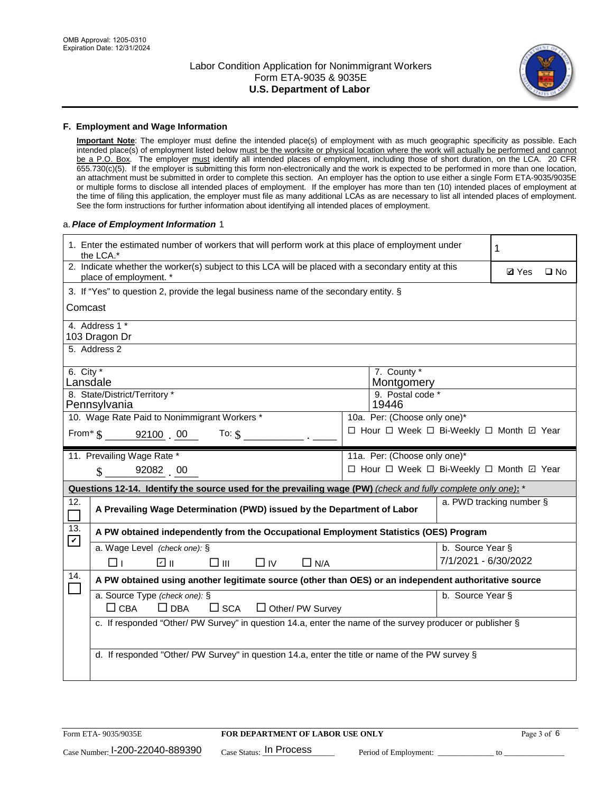

#### **F. Employment and Wage Information**

**Important Note**: The employer must define the intended place(s) of employment with as much geographic specificity as possible. Each intended place(s) of employment listed below must be the worksite or physical location where the work will actually be performed and cannot be a P.O. Box. The employer must identify all intended places of employment, including those of short duration, on the LCA. 20 CFR 655.730(c)(5). If the employer is submitting this form non-electronically and the work is expected to be performed in more than one location, an attachment must be submitted in order to complete this section. An employer has the option to use either a single Form ETA-9035/9035E or multiple forms to disclose all intended places of employment. If the employer has more than ten (10) intended places of employment at the time of filing this application, the employer must file as many additional LCAs as are necessary to list all intended places of employment. See the form instructions for further information about identifying all intended places of employment.

#### a.*Place of Employment Information* 1

| 1. Enter the estimated number of workers that will perform work at this place of employment under<br>the LCA.* |                                                                                                                                |  |                                          |                      |  |  |  |  |
|----------------------------------------------------------------------------------------------------------------|--------------------------------------------------------------------------------------------------------------------------------|--|------------------------------------------|----------------------|--|--|--|--|
|                                                                                                                | 2. Indicate whether the worker(s) subject to this LCA will be placed with a secondary entity at this<br>place of employment. * |  |                                          |                      |  |  |  |  |
|                                                                                                                | 3. If "Yes" to question 2, provide the legal business name of the secondary entity. §                                          |  |                                          |                      |  |  |  |  |
| Comcast                                                                                                        |                                                                                                                                |  |                                          |                      |  |  |  |  |
|                                                                                                                | 4. Address 1 *<br>103 Dragon Dr                                                                                                |  |                                          |                      |  |  |  |  |
|                                                                                                                | 5. Address 2                                                                                                                   |  |                                          |                      |  |  |  |  |
| 6. City $*$<br>Lansdale                                                                                        |                                                                                                                                |  | 7. County *<br>Montgomery                |                      |  |  |  |  |
|                                                                                                                | 8. State/District/Territory *<br>Pennsylvania                                                                                  |  | 9. Postal code *<br>19446                |                      |  |  |  |  |
|                                                                                                                | 10. Wage Rate Paid to Nonimmigrant Workers *                                                                                   |  | 10a. Per: (Choose only one)*             |                      |  |  |  |  |
|                                                                                                                | □ Hour □ Week □ Bi-Weekly □ Month ☑ Year<br>From* \$ 92100 00<br>To: $$$                                                       |  |                                          |                      |  |  |  |  |
|                                                                                                                | 11. Prevailing Wage Rate *                                                                                                     |  | 11a. Per: (Choose only one)*             |                      |  |  |  |  |
|                                                                                                                | $\sin 92082$ 00                                                                                                                |  | □ Hour □ Week □ Bi-Weekly □ Month ☑ Year |                      |  |  |  |  |
|                                                                                                                | Questions 12-14. Identify the source used for the prevailing wage (PW) (check and fully complete only one): *                  |  |                                          |                      |  |  |  |  |
| 12.<br>$\Box$                                                                                                  | a. PWD tracking number §<br>A Prevailing Wage Determination (PWD) issued by the Department of Labor                            |  |                                          |                      |  |  |  |  |
| 13.<br>$\mathbf v$                                                                                             | A PW obtained independently from the Occupational Employment Statistics (OES) Program                                          |  |                                          |                      |  |  |  |  |
|                                                                                                                | a. Wage Level (check one): §                                                                                                   |  |                                          | b. Source Year §     |  |  |  |  |
|                                                                                                                | ☑ ⊪<br>$\square$ $\square$<br>$\Box$ IV<br>$\Box$ N/A<br>□⊥                                                                    |  |                                          | 7/1/2021 - 6/30/2022 |  |  |  |  |
| 14.                                                                                                            | A PW obtained using another legitimate source (other than OES) or an independent authoritative source                          |  |                                          |                      |  |  |  |  |
|                                                                                                                | a. Source Type (check one): §<br>b. Source Year §<br>$\Box$ CBA<br>$\Box$ DBA<br>$\square$ SCA<br>$\Box$ Other/ PW Survey      |  |                                          |                      |  |  |  |  |
|                                                                                                                | c. If responded "Other/ PW Survey" in question 14.a, enter the name of the survey producer or publisher §                      |  |                                          |                      |  |  |  |  |
|                                                                                                                |                                                                                                                                |  |                                          |                      |  |  |  |  |
|                                                                                                                | d. If responded "Other/ PW Survey" in question 14.a, enter the title or name of the PW survey §                                |  |                                          |                      |  |  |  |  |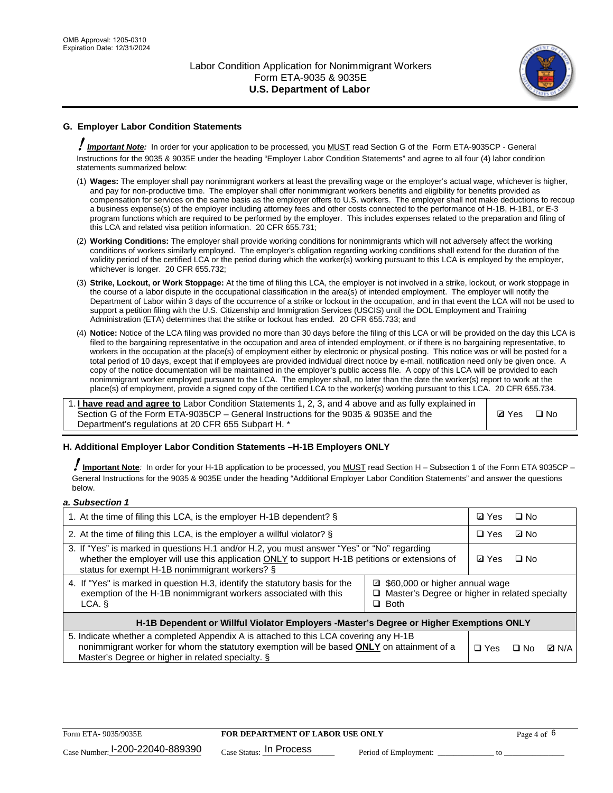

# **G. Employer Labor Condition Statements**

! *Important Note:* In order for your application to be processed, you MUST read Section G of the Form ETA-9035CP - General Instructions for the 9035 & 9035E under the heading "Employer Labor Condition Statements" and agree to all four (4) labor condition statements summarized below:

- (1) **Wages:** The employer shall pay nonimmigrant workers at least the prevailing wage or the employer's actual wage, whichever is higher, and pay for non-productive time. The employer shall offer nonimmigrant workers benefits and eligibility for benefits provided as compensation for services on the same basis as the employer offers to U.S. workers. The employer shall not make deductions to recoup a business expense(s) of the employer including attorney fees and other costs connected to the performance of H-1B, H-1B1, or E-3 program functions which are required to be performed by the employer. This includes expenses related to the preparation and filing of this LCA and related visa petition information. 20 CFR 655.731;
- (2) **Working Conditions:** The employer shall provide working conditions for nonimmigrants which will not adversely affect the working conditions of workers similarly employed. The employer's obligation regarding working conditions shall extend for the duration of the validity period of the certified LCA or the period during which the worker(s) working pursuant to this LCA is employed by the employer, whichever is longer. 20 CFR 655.732;
- (3) **Strike, Lockout, or Work Stoppage:** At the time of filing this LCA, the employer is not involved in a strike, lockout, or work stoppage in the course of a labor dispute in the occupational classification in the area(s) of intended employment. The employer will notify the Department of Labor within 3 days of the occurrence of a strike or lockout in the occupation, and in that event the LCA will not be used to support a petition filing with the U.S. Citizenship and Immigration Services (USCIS) until the DOL Employment and Training Administration (ETA) determines that the strike or lockout has ended. 20 CFR 655.733; and
- (4) **Notice:** Notice of the LCA filing was provided no more than 30 days before the filing of this LCA or will be provided on the day this LCA is filed to the bargaining representative in the occupation and area of intended employment, or if there is no bargaining representative, to workers in the occupation at the place(s) of employment either by electronic or physical posting. This notice was or will be posted for a total period of 10 days, except that if employees are provided individual direct notice by e-mail, notification need only be given once. A copy of the notice documentation will be maintained in the employer's public access file. A copy of this LCA will be provided to each nonimmigrant worker employed pursuant to the LCA. The employer shall, no later than the date the worker(s) report to work at the place(s) of employment, provide a signed copy of the certified LCA to the worker(s) working pursuant to this LCA. 20 CFR 655.734.

1. **I have read and agree to** Labor Condition Statements 1, 2, 3, and 4 above and as fully explained in Section G of the Form ETA-9035CP – General Instructions for the 9035 & 9035E and the Department's regulations at 20 CFR 655 Subpart H. \*

**Ø**Yes ロNo

### **H. Additional Employer Labor Condition Statements –H-1B Employers ONLY**

!**Important Note***:* In order for your H-1B application to be processed, you MUST read Section H – Subsection 1 of the Form ETA 9035CP – General Instructions for the 9035 & 9035E under the heading "Additional Employer Labor Condition Statements" and answer the questions below.

#### *a. Subsection 1*

| 1. At the time of filing this LCA, is the employer H-1B dependent? §                                                                                                                                                                                            |  |  | □ No      |              |
|-----------------------------------------------------------------------------------------------------------------------------------------------------------------------------------------------------------------------------------------------------------------|--|--|-----------|--------------|
| 2. At the time of filing this LCA, is the employer a willful violator? $\S$                                                                                                                                                                                     |  |  | ⊡ No      |              |
| 3. If "Yes" is marked in questions H.1 and/or H.2, you must answer "Yes" or "No" regarding<br>whether the employer will use this application ONLY to support H-1B petitions or extensions of<br>status for exempt H-1B nonimmigrant workers? §                  |  |  | $\Box$ No |              |
| 4. If "Yes" is marked in question H.3, identify the statutory basis for the<br>■ \$60,000 or higher annual wage<br>exemption of the H-1B nonimmigrant workers associated with this<br>□ Master's Degree or higher in related specialty<br>$\Box$ Both<br>LCA. § |  |  |           |              |
| H-1B Dependent or Willful Violator Employers -Master's Degree or Higher Exemptions ONLY                                                                                                                                                                         |  |  |           |              |
| 5. Indicate whether a completed Appendix A is attached to this LCA covering any H-1B<br>nonimmigrant worker for whom the statutory exemption will be based <b>ONLY</b> on attainment of a<br>Master's Degree or higher in related specialty. §                  |  |  | ⊡ No      | <b>D</b> N/A |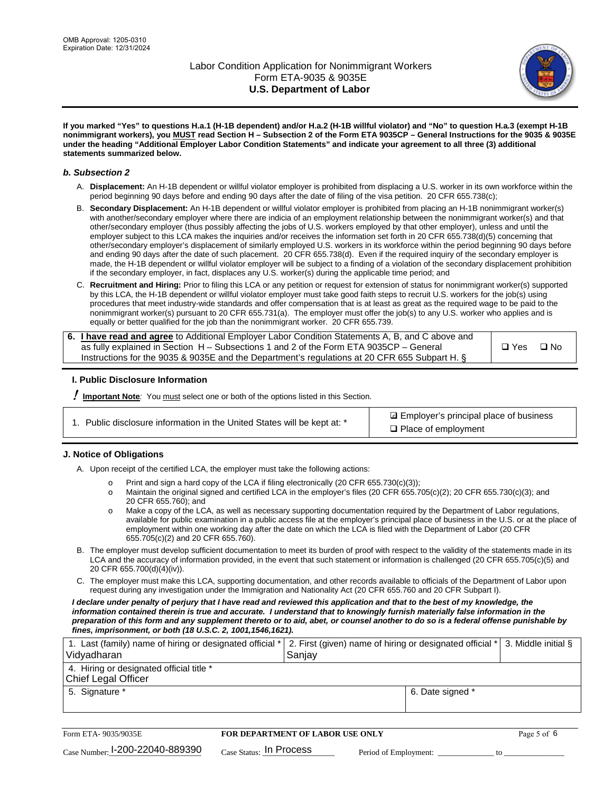

**If you marked "Yes" to questions H.a.1 (H-1B dependent) and/or H.a.2 (H-1B willful violator) and "No" to question H.a.3 (exempt H-1B nonimmigrant workers), you MUST read Section H – Subsection 2 of the Form ETA 9035CP – General Instructions for the 9035 & 9035E under the heading "Additional Employer Labor Condition Statements" and indicate your agreement to all three (3) additional statements summarized below.**

#### *b. Subsection 2*

- A. **Displacement:** An H-1B dependent or willful violator employer is prohibited from displacing a U.S. worker in its own workforce within the period beginning 90 days before and ending 90 days after the date of filing of the visa petition. 20 CFR 655.738(c);
- B. **Secondary Displacement:** An H-1B dependent or willful violator employer is prohibited from placing an H-1B nonimmigrant worker(s) with another/secondary employer where there are indicia of an employment relationship between the nonimmigrant worker(s) and that other/secondary employer (thus possibly affecting the jobs of U.S. workers employed by that other employer), unless and until the employer subject to this LCA makes the inquiries and/or receives the information set forth in 20 CFR 655.738(d)(5) concerning that other/secondary employer's displacement of similarly employed U.S. workers in its workforce within the period beginning 90 days before and ending 90 days after the date of such placement. 20 CFR 655.738(d). Even if the required inquiry of the secondary employer is made, the H-1B dependent or willful violator employer will be subject to a finding of a violation of the secondary displacement prohibition if the secondary employer, in fact, displaces any U.S. worker(s) during the applicable time period; and
- C. **Recruitment and Hiring:** Prior to filing this LCA or any petition or request for extension of status for nonimmigrant worker(s) supported by this LCA, the H-1B dependent or willful violator employer must take good faith steps to recruit U.S. workers for the job(s) using procedures that meet industry-wide standards and offer compensation that is at least as great as the required wage to be paid to the nonimmigrant worker(s) pursuant to 20 CFR 655.731(a). The employer must offer the job(s) to any U.S. worker who applies and is equally or better qualified for the job than the nonimmigrant worker. 20 CFR 655.739.

| 6. I have read and agree to Additional Employer Labor Condition Statements A, B, and C above and |       |           |
|--------------------------------------------------------------------------------------------------|-------|-----------|
| as fully explained in Section H – Subsections 1 and 2 of the Form ETA 9035CP – General           | □ Yes | $\Box$ No |
| Instructions for the 9035 & 9035E and the Department's regulations at 20 CFR 655 Subpart H. §    |       |           |

### **I. Public Disclosure Information**

! **Important Note***:* You must select one or both of the options listed in this Section.

**sqrt** Employer's principal place of business □ Place of employment

### **J. Notice of Obligations**

A. Upon receipt of the certified LCA, the employer must take the following actions:

- o Print and sign a hard copy of the LCA if filing electronically (20 CFR 655.730(c)(3));<br>
Maintain the original signed and certified LCA in the employer's files (20 CFR 655.7
- Maintain the original signed and certified LCA in the employer's files (20 CFR 655.705(c)(2); 20 CFR 655.730(c)(3); and 20 CFR 655.760); and
- o Make a copy of the LCA, as well as necessary supporting documentation required by the Department of Labor regulations, available for public examination in a public access file at the employer's principal place of business in the U.S. or at the place of employment within one working day after the date on which the LCA is filed with the Department of Labor (20 CFR 655.705(c)(2) and 20 CFR 655.760).
- B. The employer must develop sufficient documentation to meet its burden of proof with respect to the validity of the statements made in its LCA and the accuracy of information provided, in the event that such statement or information is challenged (20 CFR 655.705(c)(5) and 20 CFR 655.700(d)(4)(iv)).
- C. The employer must make this LCA, supporting documentation, and other records available to officials of the Department of Labor upon request during any investigation under the Immigration and Nationality Act (20 CFR 655.760 and 20 CFR Subpart I).

*I declare under penalty of perjury that I have read and reviewed this application and that to the best of my knowledge, the*  information contained therein is true and accurate. I understand that to knowingly furnish materially false information in the *preparation of this form and any supplement thereto or to aid, abet, or counsel another to do so is a federal offense punishable by fines, imprisonment, or both (18 U.S.C. 2, 1001,1546,1621).*

| 1. Last (family) name of hiring or designated official *<br>Vidyadharan | 2. First (given) name of hiring or designated official * 3. Middle initial §<br>Sanjay |                  |  |
|-------------------------------------------------------------------------|----------------------------------------------------------------------------------------|------------------|--|
| 4. Hiring or designated official title *<br>Chief Legal Officer         |                                                                                        |                  |  |
| 5. Signature *                                                          |                                                                                        | 6. Date signed * |  |

| Form ETA-9035/9035E             | <b>FOR DEPARTMENT OF LABOR USE ONLY</b> |                       |  |
|---------------------------------|-----------------------------------------|-----------------------|--|
| Case Number: 1-200-22040-889390 | $Case$ Status: In Process               | Period of Employment: |  |